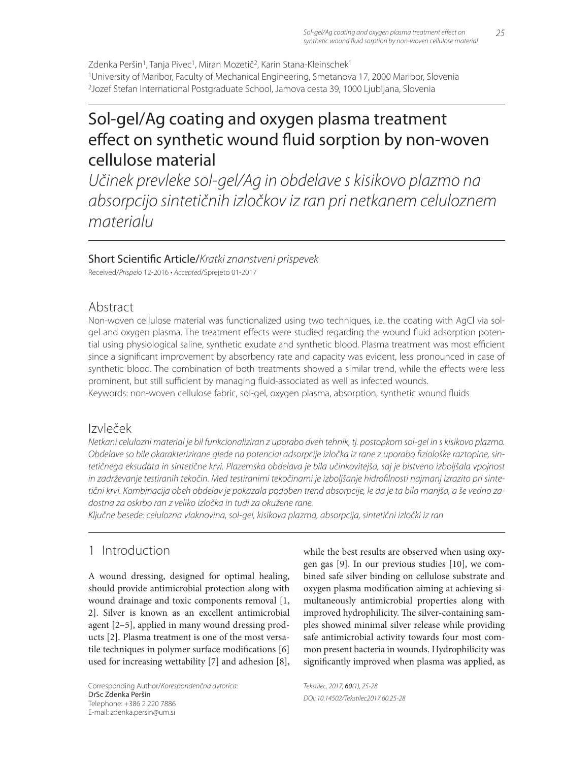Zdenka Peršin<sup>1</sup>, Tanja Pivec<sup>1</sup>, Miran Mozetič<sup>2</sup>, Karin Stana-Kleinschek<sup>1</sup> 1University of Maribor, Faculty of Mechanical Engineering, Smetanova 17, 2000 Maribor, Slovenia 2Jozef Stefan International Postgraduate School, Jamova cesta 39, 1000 Ljubljana, Slovenia

# Sol-gel/Ag coating and oxygen plasma treatment effect on synthetic wound fluid sorption by non-woven cellulose material

Učinek prevleke sol-gel/Ag in obdelave s kisikovo plazmo na absorpcijo sintetičnih izločkov iz ran pri netkanem celuloznem materialu

### Short Scientific Article/Kratki znanstveni prispevek

Received/Prispelo 12-2016 • Accepted/Sprejeto 01-2017

### Abstract

Non-woven cellulose material was functionalized using two techniques, i.e. the coating with AgCl via solgel and oxygen plasma. The treatment effects were studied regarding the wound fluid adsorption potential using physiological saline, synthetic exudate and synthetic blood. Plasma treatment was most efficient since a significant improvement by absorbency rate and capacity was evident, less pronounced in case of synthetic blood. The combination of both treatments showed a similar trend, while the effects were less prominent, but still sufficient by managing fluid-associated as well as infected wounds.

Keywords: non-woven cellulose fabric, sol-gel, oxygen plasma, absorption, synthetic wound fluids

## Izvleček

Netkani celulozni material je bil funkcionaliziran z uporabo dveh tehnik, tj. postopkom sol-gel in s kisikovo plazmo. Obdelave so bile okarakterizirane glede na potencial adsorpcije izločka iz rane z uporabo fiziološke raztopine, sintetičnega eksudata in sintetične krvi. Plazemska obdelava je bila učinkovitejša, saj je bistveno izboljšala vpojnost in zadrževanje testiranih tekočin. Med testiranimi tekočinami je izboljšanje hidrofilnosti najmanj izrazito pri sintetični krvi. Kombinacija obeh obdelav je pokazala podoben trend absorpcije, le da je ta bila manjša, a še vedno zadostna za oskrbo ran z veliko izločka in tudi za okužene rane.

Ključne besede: celulozna vlaknovina, sol-gel, kisikova plazma, absorpcija, sintetični izločki iz ran

# 1 Introduction

A wound dressing, designed for optimal healing, should provide antimicrobial protection along with wound drainage and toxic components removal [1, 2]. Silver is known as an excellent antimicrobial agent [2–5], applied in many wound dressing products [2]. Plasma treatment is one of the most versatile techniques in polymer surface modifications [6] used for increasing wettability [7] and adhesion [8],

Corresponding Author/Korespondenčna avtorica: DrSc Zdenka Peršin Telephone: +386 2 220 7886 E-mail: zdenka.persin@um.si

while the best results are observed when using oxygen gas [9]. In our previous studies [10], we combined safe silver binding on cellulose substrate and oxygen plasma modification aiming at achieving simultaneously antimicrobial properties along with improved hydrophilicity. The silver-containing samples showed minimal silver release while providing safe antimicrobial activity towards four most common present bacteria in wounds. Hydrophilicity was significantly improved when plasma was applied, as

Tekstilec, 2017, 60(1), 25-28 DOI: 10.14502/Tekstilec2017.60.25-28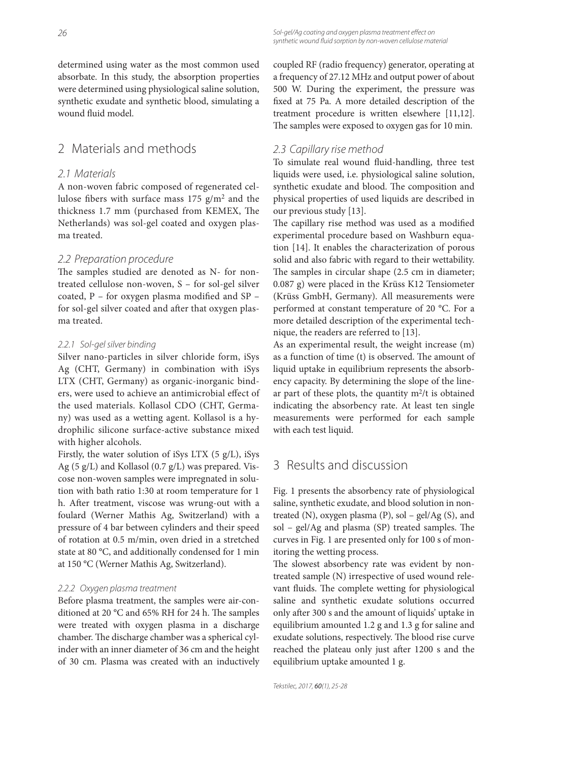determined using water as the most common used absorbate. In this study, the absorption properties were determined using physiological saline solution, synthetic exudate and synthetic blood, simulating a wound fluid model.

## 2 Materials and methods

#### 2.1 Materials

A non-woven fabric composed of regenerated cellulose fibers with surface mass  $175$  g/m<sup>2</sup> and the thickness 1.7 mm (purchased from KEMEX, The Netherlands) was sol-gel coated and oxygen plasma treated.

#### 2.2 Preparation procedure

The samples studied are denoted as N- for nontreated cellulose non-woven, S – for sol-gel silver coated,  $P$  – for oxygen plasma modified and SP – for sol-gel silver coated and after that oxygen plasma treated.

#### 2.2.1 Sol-gel silver binding

Silver nano-particles in silver chloride form, iSys Ag (CHT, Germany) in combination with iSys LTX (CHT, Germany) as organic-inorganic binders, were used to achieve an antimicrobial effect of the used materials. Kollasol CDO (CHT, Germany) was used as a wetting agent. Kollasol is a hydrophilic silicone surface-active substance mixed with higher alcohols.

Firstly, the water solution of iSys LTX (5 g/L), iSys Ag (5 g/L) and Kollasol (0.7 g/L) was prepared. Viscose non-woven samples were impregnated in solution with bath ratio 1:30 at room temperature for 1 h. After treatment, viscose was wrung-out with a foulard (Werner Mathis Ag, Switzerland) with a pressure of 4 bar between cylinders and their speed of rotation at 0.5 m/min, oven dried in a stretched state at 80 °C, and additionally condensed for 1 min at 150 °C (Werner Mathis Ag, Switzerland).

#### 2.2.2 Oxygen plasma treatment

Before plasma treatment, the samples were air-conditioned at 20 °C and 65% RH for 24 h. The samples were treated with oxygen plasma in a discharge chamber. The discharge chamber was a spherical cylinder with an inner diameter of 36 cm and the height of 30 cm. Plasma was created with an inductively coupled RF (radio frequency) generator, operating at a frequency of 27.12 MHz and output power of about 500 W. During the experiment, the pressure was fixed at 75 Pa. A more detailed description of the treatment procedure is written elsewhere [11,12]. The samples were exposed to oxygen gas for 10 min.

#### 2.3 Capillary rise method

To simulate real wound fluid-handling, three test liquids were used, i.e. physiological saline solution, synthetic exudate and blood. The composition and physical properties of used liquids are described in our previous study [13].

The capillary rise method was used as a modified experimental procedure based on Washburn equation [14]. It enables the characterization of porous solid and also fabric with regard to their wettability. The samples in circular shape (2.5 cm in diameter; 0.087 g) were placed in the Krüss K12 Tensiometer (Krüss GmbH, Germany). All measurements were performed at constant temperature of 20 °C. For a more detailed description of the experimental technique, the readers are referred to [13].

As an experimental result, the weight increase (m) as a function of time (t) is observed. The amount of liquid uptake in equilibrium represents the absorbency capacity. By determining the slope of the linear part of these plots, the quantity  $m^2/t$  is obtained indicating the absorbency rate. At least ten single measurements were performed for each sample with each test liquid.

# 3 Results and discussion

Fig. 1 presents the absorbency rate of physiological saline, synthetic exudate, and blood solution in nontreated (N), oxygen plasma (P), sol – gel/Ag (S), and sol - gel/Ag and plasma (SP) treated samples. The curves in Fig. 1 are presented only for 100 s of monitoring the wetting process.

The slowest absorbency rate was evident by nontreated sample (N) irrespective of used wound relevant fluids. The complete wetting for physiological saline and synthetic exudate solutions occurred only after 300 s and the amount of liquids' uptake in equilibrium amounted 1.2 g and 1.3 g for saline and exudate solutions, respectively. The blood rise curve reached the plateau only just after 1200 s and the equilibrium uptake amounted 1 g.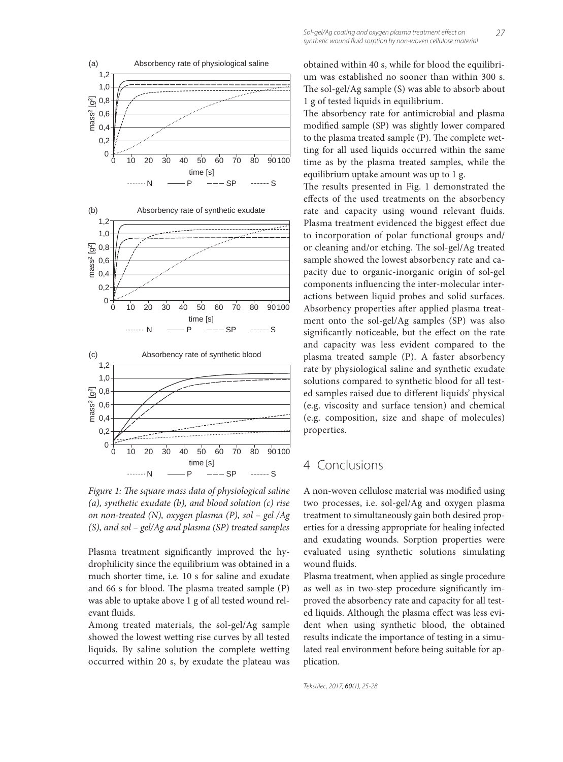





*Figure 1: The square mass data of physiological saline (a), synthetic exudate (b), and blood solution (c) rise on non-treated (N), oxygen plasma (P), sol – gel /Ag (S), and sol – gel/Ag and plasma (SP) treated samples*

Plasma treatment significantly improved the hydrophilicity since the equilibrium was obtained in a much shorter time, i.e. 10 s for saline and exudate and 66 s for blood. The plasma treated sample  $(P)$ was able to uptake above 1 g of all tested wound relevant fluids.

Among treated materials, the sol-gel/Ag sample showed the lowest wetting rise curves by all tested liquids. By saline solution the complete wetting occurred within 20 s, by exudate the plateau was obtained within 40 s, while for blood the equilibrium was established no sooner than within 300 s. The sol-gel/Ag sample (S) was able to absorb about 1 g of tested liquids in equilibrium.

The absorbency rate for antimicrobial and plasma modified sample (SP) was slightly lower compared to the plasma treated sample (P). The complete wetting for all used liquids occurred within the same time as by the plasma treated samples, while the equilibrium uptake amount was up to 1 g.

The results presented in Fig. 1 demonstrated the effects of the used treatments on the absorbency rate and capacity using wound relevant fluids. Plasma treatment evidenced the biggest effect due to incorporation of polar functional groups and/ or cleaning and/or etching. The sol-gel/Ag treated sample showed the lowest absorbency rate and capacity due to organic-inorganic origin of sol-gel components influencing the inter-molecular interactions between liquid probes and solid surfaces. Absorbency properties after applied plasma treatment onto the sol-gel/Ag samples (SP) was also significantly noticeable, but the effect on the rate and capacity was less evident compared to the plasma treated sample (P). A faster absorbency rate by physiological saline and synthetic exudate solutions compared to synthetic blood for all tested samples raised due to different liquids' physical (e.g. viscosity and surface tension) and chemical (e.g. composition, size and shape of molecules) properties.

# 4 Conclusions

A non-woven cellulose material was modified using two processes, i.e. sol-gel/Ag and oxygen plasma treatment to simultaneously gain both desired properties for a dressing appropriate for healing infected and exudating wounds. Sorption properties were evaluated using synthetic solutions simulating wound fluids.

Plasma treatment, when applied as single procedure as well as in two-step procedure significantly improved the absorbency rate and capacity for all tested liquids. Although the plasma effect was less evident when using synthetic blood, the obtained results indicate the importance of testing in a simulated real environment before being suitable for application.